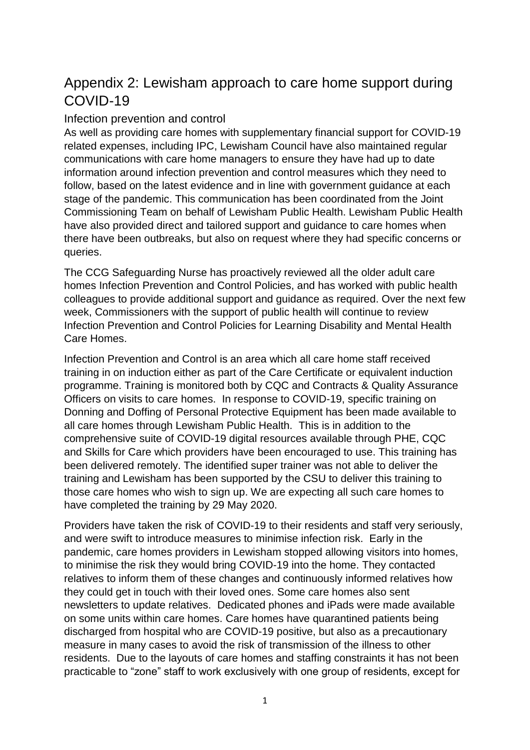# Appendix 2: Lewisham approach to care home support during COVID-19

## Infection prevention and control

As well as providing care homes with supplementary financial support for COVID-19 related expenses, including IPC, Lewisham Council have also maintained regular communications with care home managers to ensure they have had up to date information around infection prevention and control measures which they need to follow, based on the latest evidence and in line with government guidance at each stage of the pandemic. This communication has been coordinated from the Joint Commissioning Team on behalf of Lewisham Public Health. Lewisham Public Health have also provided direct and tailored support and guidance to care homes when there have been outbreaks, but also on request where they had specific concerns or queries.

The CCG Safeguarding Nurse has proactively reviewed all the older adult care homes Infection Prevention and Control Policies, and has worked with public health colleagues to provide additional support and guidance as required. Over the next few week, Commissioners with the support of public health will continue to review Infection Prevention and Control Policies for Learning Disability and Mental Health Care Homes.

Infection Prevention and Control is an area which all care home staff received training in on induction either as part of the Care Certificate or equivalent induction programme. Training is monitored both by CQC and Contracts & Quality Assurance Officers on visits to care homes. In response to COVID-19, specific training on Donning and Doffing of Personal Protective Equipment has been made available to all care homes through Lewisham Public Health. This is in addition to the comprehensive suite of COVID-19 digital resources available through PHE, CQC and Skills for Care which providers have been encouraged to use. This training has been delivered remotely. The identified super trainer was not able to deliver the training and Lewisham has been supported by the CSU to deliver this training to those care homes who wish to sign up. We are expecting all such care homes to have completed the training by 29 May 2020.

Providers have taken the risk of COVID-19 to their residents and staff very seriously, and were swift to introduce measures to minimise infection risk. Early in the pandemic, care homes providers in Lewisham stopped allowing visitors into homes, to minimise the risk they would bring COVID-19 into the home. They contacted relatives to inform them of these changes and continuously informed relatives how they could get in touch with their loved ones. Some care homes also sent newsletters to update relatives. Dedicated phones and iPads were made available on some units within care homes. Care homes have quarantined patients being discharged from hospital who are COVID-19 positive, but also as a precautionary measure in many cases to avoid the risk of transmission of the illness to other residents. Due to the layouts of care homes and staffing constraints it has not been practicable to "zone" staff to work exclusively with one group of residents, except for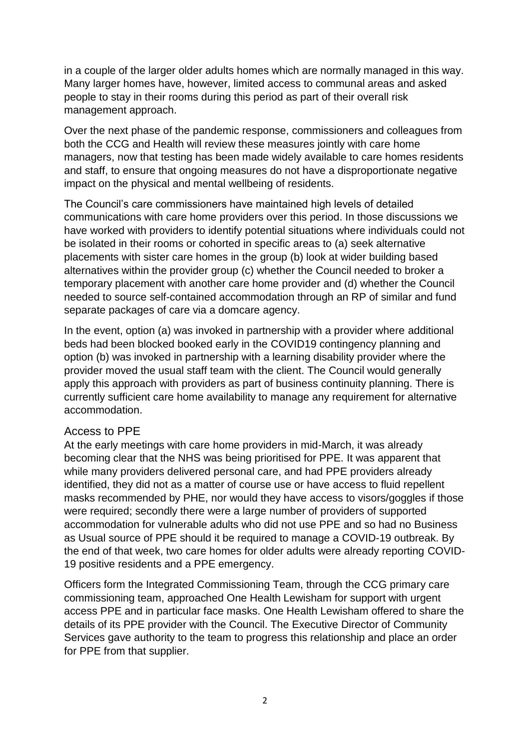in a couple of the larger older adults homes which are normally managed in this way. Many larger homes have, however, limited access to communal areas and asked people to stay in their rooms during this period as part of their overall risk management approach.

Over the next phase of the pandemic response, commissioners and colleagues from both the CCG and Health will review these measures jointly with care home managers, now that testing has been made widely available to care homes residents and staff, to ensure that ongoing measures do not have a disproportionate negative impact on the physical and mental wellbeing of residents.

The Council's care commissioners have maintained high levels of detailed communications with care home providers over this period. In those discussions we have worked with providers to identify potential situations where individuals could not be isolated in their rooms or cohorted in specific areas to (a) seek alternative placements with sister care homes in the group (b) look at wider building based alternatives within the provider group (c) whether the Council needed to broker a temporary placement with another care home provider and (d) whether the Council needed to source self-contained accommodation through an RP of similar and fund separate packages of care via a domcare agency.

In the event, option (a) was invoked in partnership with a provider where additional beds had been blocked booked early in the COVID19 contingency planning and option (b) was invoked in partnership with a learning disability provider where the provider moved the usual staff team with the client. The Council would generally apply this approach with providers as part of business continuity planning. There is currently sufficient care home availability to manage any requirement for alternative accommodation.

#### Access to PPE

At the early meetings with care home providers in mid-March, it was already becoming clear that the NHS was being prioritised for PPE. It was apparent that while many providers delivered personal care, and had PPE providers already identified, they did not as a matter of course use or have access to fluid repellent masks recommended by PHE, nor would they have access to visors/goggles if those were required; secondly there were a large number of providers of supported accommodation for vulnerable adults who did not use PPE and so had no Business as Usual source of PPE should it be required to manage a COVID-19 outbreak. By the end of that week, two care homes for older adults were already reporting COVID-19 positive residents and a PPE emergency.

Officers form the Integrated Commissioning Team, through the CCG primary care commissioning team, approached One Health Lewisham for support with urgent access PPE and in particular face masks. One Health Lewisham offered to share the details of its PPE provider with the Council. The Executive Director of Community Services gave authority to the team to progress this relationship and place an order for PPE from that supplier.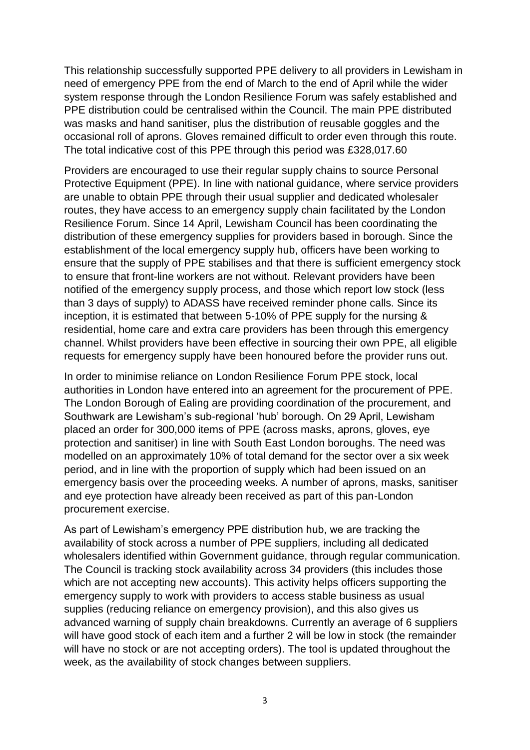This relationship successfully supported PPE delivery to all providers in Lewisham in need of emergency PPE from the end of March to the end of April while the wider system response through the London Resilience Forum was safely established and PPE distribution could be centralised within the Council. The main PPE distributed was masks and hand sanitiser, plus the distribution of reusable goggles and the occasional roll of aprons. Gloves remained difficult to order even through this route. The total indicative cost of this PPE through this period was £328,017.60

Providers are encouraged to use their regular supply chains to source Personal Protective Equipment (PPE). In line with national guidance, where service providers are unable to obtain PPE through their usual supplier and dedicated wholesaler routes, they have access to an emergency supply chain facilitated by the London Resilience Forum. Since 14 April, Lewisham Council has been coordinating the distribution of these emergency supplies for providers based in borough. Since the establishment of the local emergency supply hub, officers have been working to ensure that the supply of PPE stabilises and that there is sufficient emergency stock to ensure that front-line workers are not without. Relevant providers have been notified of the emergency supply process, and those which report low stock (less than 3 days of supply) to ADASS have received reminder phone calls. Since its inception, it is estimated that between 5-10% of PPE supply for the nursing & residential, home care and extra care providers has been through this emergency channel. Whilst providers have been effective in sourcing their own PPE, all eligible requests for emergency supply have been honoured before the provider runs out.

In order to minimise reliance on London Resilience Forum PPE stock, local authorities in London have entered into an agreement for the procurement of PPE. The London Borough of Ealing are providing coordination of the procurement, and Southwark are Lewisham's sub-regional 'hub' borough. On 29 April, Lewisham placed an order for 300,000 items of PPE (across masks, aprons, gloves, eye protection and sanitiser) in line with South East London boroughs. The need was modelled on an approximately 10% of total demand for the sector over a six week period, and in line with the proportion of supply which had been issued on an emergency basis over the proceeding weeks. A number of aprons, masks, sanitiser and eye protection have already been received as part of this pan-London procurement exercise.

As part of Lewisham's emergency PPE distribution hub, we are tracking the availability of stock across a number of PPE suppliers, including all dedicated wholesalers identified within Government guidance, through regular communication. The Council is tracking stock availability across 34 providers (this includes those which are not accepting new accounts). This activity helps officers supporting the emergency supply to work with providers to access stable business as usual supplies (reducing reliance on emergency provision), and this also gives us advanced warning of supply chain breakdowns. Currently an average of 6 suppliers will have good stock of each item and a further 2 will be low in stock (the remainder will have no stock or are not accepting orders). The tool is updated throughout the week, as the availability of stock changes between suppliers.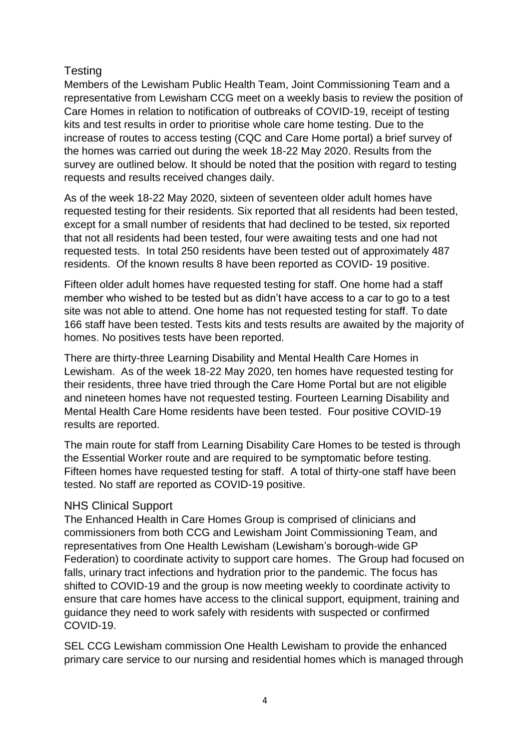# **Testing**

Members of the Lewisham Public Health Team, Joint Commissioning Team and a representative from Lewisham CCG meet on a weekly basis to review the position of Care Homes in relation to notification of outbreaks of COVID-19, receipt of testing kits and test results in order to prioritise whole care home testing. Due to the increase of routes to access testing (CQC and Care Home portal) a brief survey of the homes was carried out during the week 18-22 May 2020. Results from the survey are outlined below. It should be noted that the position with regard to testing requests and results received changes daily.

As of the week 18-22 May 2020, sixteen of seventeen older adult homes have requested testing for their residents. Six reported that all residents had been tested, except for a small number of residents that had declined to be tested, six reported that not all residents had been tested, four were awaiting tests and one had not requested tests. In total 250 residents have been tested out of approximately 487 residents. Of the known results 8 have been reported as COVID- 19 positive.

Fifteen older adult homes have requested testing for staff. One home had a staff member who wished to be tested but as didn't have access to a car to go to a test site was not able to attend. One home has not requested testing for staff. To date 166 staff have been tested. Tests kits and tests results are awaited by the majority of homes. No positives tests have been reported.

There are thirty-three Learning Disability and Mental Health Care Homes in Lewisham. As of the week 18-22 May 2020, ten homes have requested testing for their residents, three have tried through the Care Home Portal but are not eligible and nineteen homes have not requested testing. Fourteen Learning Disability and Mental Health Care Home residents have been tested. Four positive COVID-19 results are reported.

The main route for staff from Learning Disability Care Homes to be tested is through the Essential Worker route and are required to be symptomatic before testing. Fifteen homes have requested testing for staff. A total of thirty-one staff have been tested. No staff are reported as COVID-19 positive.

## NHS Clinical Support

The Enhanced Health in Care Homes Group is comprised of clinicians and commissioners from both CCG and Lewisham Joint Commissioning Team, and representatives from One Health Lewisham (Lewisham's borough-wide GP Federation) to coordinate activity to support care homes. The Group had focused on falls, urinary tract infections and hydration prior to the pandemic. The focus has shifted to COVID-19 and the group is now meeting weekly to coordinate activity to ensure that care homes have access to the clinical support, equipment, training and guidance they need to work safely with residents with suspected or confirmed COVID-19.

SEL CCG Lewisham commission One Health Lewisham to provide the enhanced primary care service to our nursing and residential homes which is managed through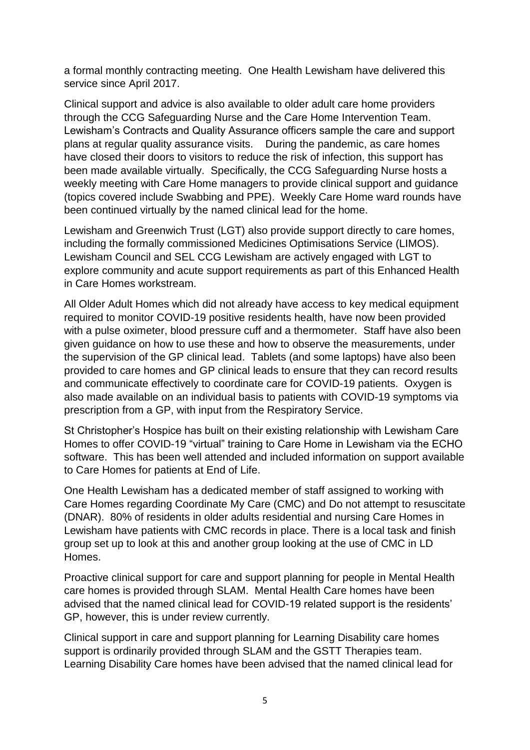a formal monthly contracting meeting. One Health Lewisham have delivered this service since April 2017.

Clinical support and advice is also available to older adult care home providers through the CCG Safeguarding Nurse and the Care Home Intervention Team. Lewisham's Contracts and Quality Assurance officers sample the care and support plans at regular quality assurance visits. During the pandemic, as care homes have closed their doors to visitors to reduce the risk of infection, this support has been made available virtually. Specifically, the CCG Safeguarding Nurse hosts a weekly meeting with Care Home managers to provide clinical support and guidance (topics covered include Swabbing and PPE). Weekly Care Home ward rounds have been continued virtually by the named clinical lead for the home.

Lewisham and Greenwich Trust (LGT) also provide support directly to care homes, including the formally commissioned Medicines Optimisations Service (LIMOS). Lewisham Council and SEL CCG Lewisham are actively engaged with LGT to explore community and acute support requirements as part of this Enhanced Health in Care Homes workstream.

All Older Adult Homes which did not already have access to key medical equipment required to monitor COVID-19 positive residents health, have now been provided with a pulse oximeter, blood pressure cuff and a thermometer. Staff have also been given guidance on how to use these and how to observe the measurements, under the supervision of the GP clinical lead. Tablets (and some laptops) have also been provided to care homes and GP clinical leads to ensure that they can record results and communicate effectively to coordinate care for COVID-19 patients. Oxygen is also made available on an individual basis to patients with COVID-19 symptoms via prescription from a GP, with input from the Respiratory Service.

St Christopher's Hospice has built on their existing relationship with Lewisham Care Homes to offer COVID-19 "virtual" training to Care Home in Lewisham via the ECHO software. This has been well attended and included information on support available to Care Homes for patients at End of Life.

One Health Lewisham has a dedicated member of staff assigned to working with Care Homes regarding Coordinate My Care (CMC) and Do not attempt to resuscitate (DNAR). 80% of residents in older adults residential and nursing Care Homes in Lewisham have patients with CMC records in place. There is a local task and finish group set up to look at this and another group looking at the use of CMC in LD Homes.

Proactive clinical support for care and support planning for people in Mental Health care homes is provided through SLAM. Mental Health Care homes have been advised that the named clinical lead for COVID-19 related support is the residents' GP, however, this is under review currently.

Clinical support in care and support planning for Learning Disability care homes support is ordinarily provided through SLAM and the GSTT Therapies team. Learning Disability Care homes have been advised that the named clinical lead for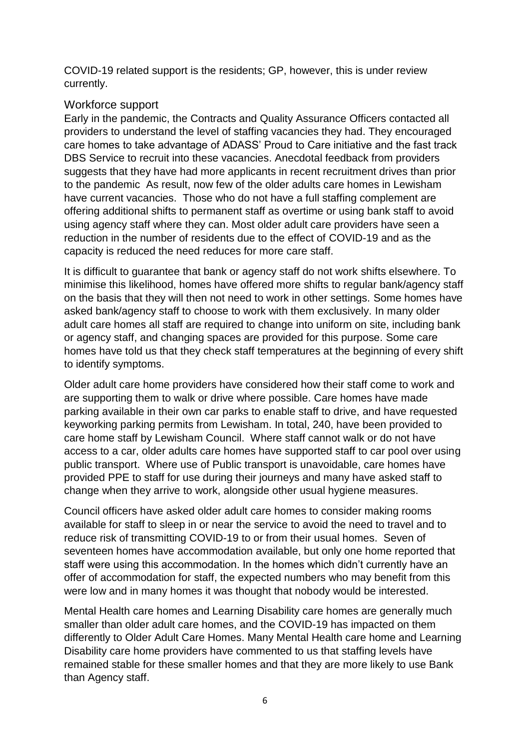COVID-19 related support is the residents; GP, however, this is under review currently.

### Workforce support

Early in the pandemic, the Contracts and Quality Assurance Officers contacted all providers to understand the level of staffing vacancies they had. They encouraged care homes to take advantage of ADASS' Proud to Care initiative and the fast track DBS Service to recruit into these vacancies. Anecdotal feedback from providers suggests that they have had more applicants in recent recruitment drives than prior to the pandemic As result, now few of the older adults care homes in Lewisham have current vacancies. Those who do not have a full staffing complement are offering additional shifts to permanent staff as overtime or using bank staff to avoid using agency staff where they can. Most older adult care providers have seen a reduction in the number of residents due to the effect of COVID-19 and as the capacity is reduced the need reduces for more care staff.

It is difficult to guarantee that bank or agency staff do not work shifts elsewhere. To minimise this likelihood, homes have offered more shifts to regular bank/agency staff on the basis that they will then not need to work in other settings. Some homes have asked bank/agency staff to choose to work with them exclusively. In many older adult care homes all staff are required to change into uniform on site, including bank or agency staff, and changing spaces are provided for this purpose. Some care homes have told us that they check staff temperatures at the beginning of every shift to identify symptoms.

Older adult care home providers have considered how their staff come to work and are supporting them to walk or drive where possible. Care homes have made parking available in their own car parks to enable staff to drive, and have requested keyworking parking permits from Lewisham. In total, 240, have been provided to care home staff by Lewisham Council. Where staff cannot walk or do not have access to a car, older adults care homes have supported staff to car pool over using public transport. Where use of Public transport is unavoidable, care homes have provided PPE to staff for use during their journeys and many have asked staff to change when they arrive to work, alongside other usual hygiene measures.

Council officers have asked older adult care homes to consider making rooms available for staff to sleep in or near the service to avoid the need to travel and to reduce risk of transmitting COVID-19 to or from their usual homes. Seven of seventeen homes have accommodation available, but only one home reported that staff were using this accommodation. In the homes which didn't currently have an offer of accommodation for staff, the expected numbers who may benefit from this were low and in many homes it was thought that nobody would be interested.

Mental Health care homes and Learning Disability care homes are generally much smaller than older adult care homes, and the COVID-19 has impacted on them differently to Older Adult Care Homes. Many Mental Health care home and Learning Disability care home providers have commented to us that staffing levels have remained stable for these smaller homes and that they are more likely to use Bank than Agency staff.